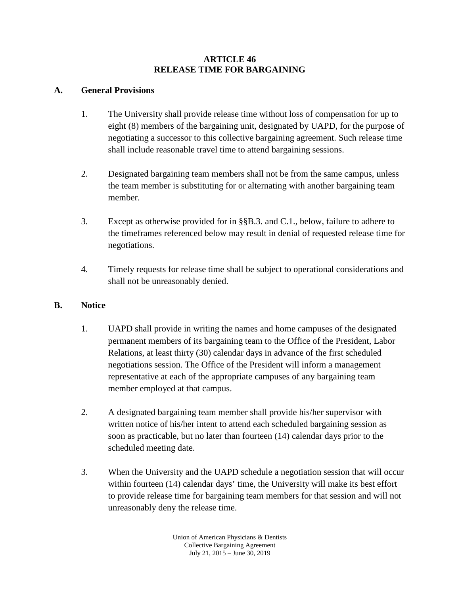### **ARTICLE 46 RELEASE TIME FOR BARGAINING**

## **A. General Provisions**

- 1. The University shall provide release time without loss of compensation for up to eight (8) members of the bargaining unit, designated by UAPD, for the purpose of negotiating a successor to this collective bargaining agreement. Such release time shall include reasonable travel time to attend bargaining sessions.
- 2. Designated bargaining team members shall not be from the same campus, unless the team member is substituting for or alternating with another bargaining team member.
- 3. Except as otherwise provided for in §§B.3. and C.1., below, failure to adhere to the timeframes referenced below may result in denial of requested release time for negotiations.
- 4. Timely requests for release time shall be subject to operational considerations and shall not be unreasonably denied.

# **B. Notice**

- 1. UAPD shall provide in writing the names and home campuses of the designated permanent members of its bargaining team to the Office of the President, Labor Relations, at least thirty (30) calendar days in advance of the first scheduled negotiations session. The Office of the President will inform a management representative at each of the appropriate campuses of any bargaining team member employed at that campus.
- 2. A designated bargaining team member shall provide his/her supervisor with written notice of his/her intent to attend each scheduled bargaining session as soon as practicable, but no later than fourteen (14) calendar days prior to the scheduled meeting date.
- 3. When the University and the UAPD schedule a negotiation session that will occur within fourteen (14) calendar days' time, the University will make its best effort to provide release time for bargaining team members for that session and will not unreasonably deny the release time.